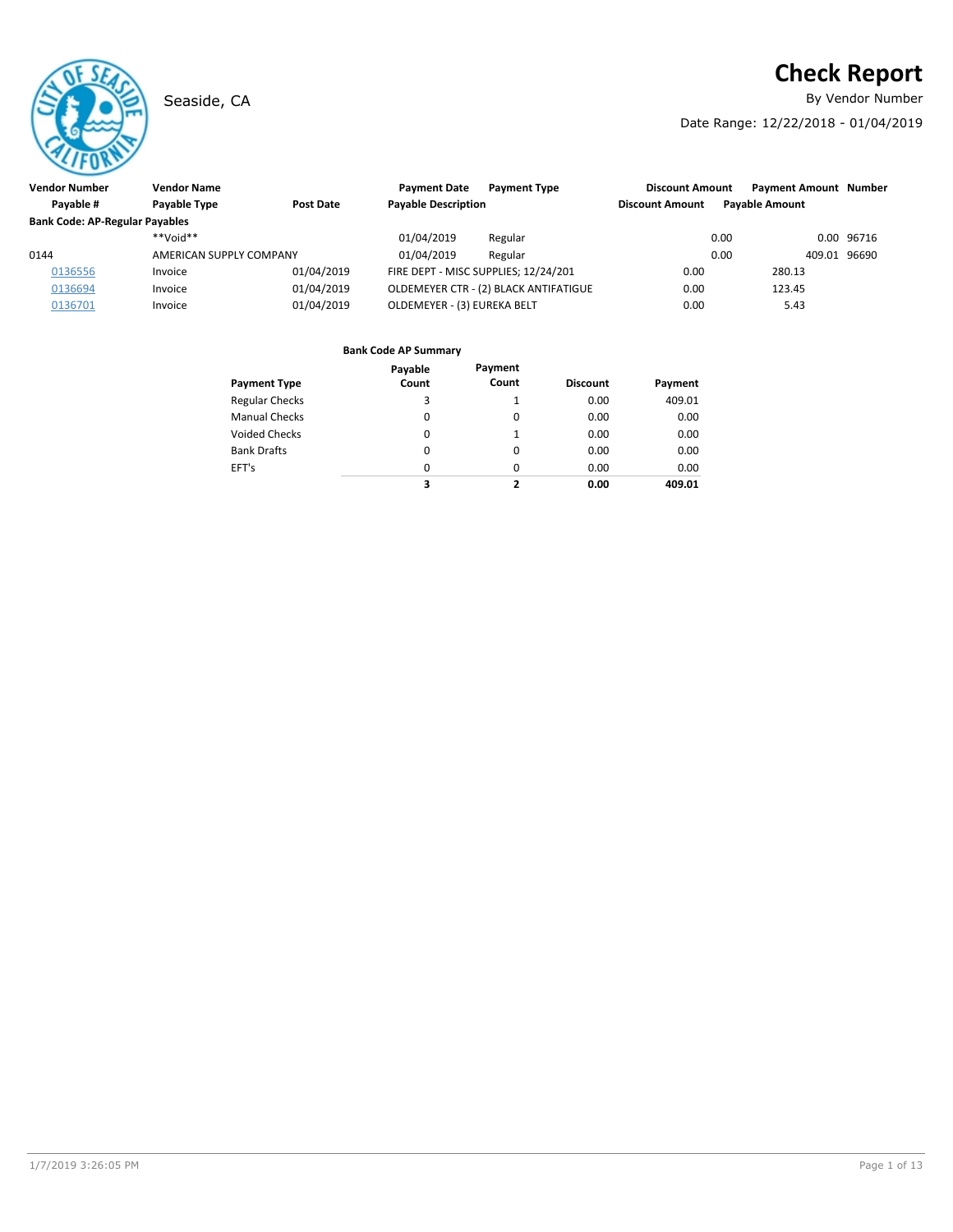# **Check Report**

Seaside, CA **By Vendor Number** 

Date Range: 12/22/2018 - 01/04/2019

| Vendor Number                         | <b>Vendor Name</b>      |            |                                      |                                       |                        |                              |              |            |
|---------------------------------------|-------------------------|------------|--------------------------------------|---------------------------------------|------------------------|------------------------------|--------------|------------|
|                                       |                         |            | <b>Payment Date</b>                  | <b>Payment Type</b>                   | <b>Discount Amount</b> | <b>Payment Amount Number</b> |              |            |
| Pavable #                             | Payable Type            | Post Date  | <b>Payable Description</b>           |                                       | <b>Discount Amount</b> | <b>Pavable Amount</b>        |              |            |
| <b>Bank Code: AP-Regular Payables</b> |                         |            |                                      |                                       |                        |                              |              |            |
|                                       | $**$ NioV $**$          |            | 01/04/2019                           | Regular                               |                        | 0.00                         |              | 0.00 96716 |
| 0144                                  | AMERICAN SUPPLY COMPANY |            | 01/04/2019                           | Regular                               |                        | 0.00                         | 409.01 96690 |            |
| 0136556                               | Invoice                 | 01/04/2019 | FIRE DEPT - MISC SUPPLIES; 12/24/201 |                                       | 0.00                   | 280.13                       |              |            |
| 0136694                               | Invoice                 | 01/04/2019 |                                      | OLDEMEYER CTR - (2) BLACK ANTIFATIGUE | 0.00                   | 123.45                       |              |            |
| 0136701                               | Invoice                 | 01/04/2019 | OLDEMEYER - (3) EUREKA BELT          |                                       | 0.00                   | 5.43                         |              |            |

| Payment Type          | Payable<br>Count | Payment<br>Count | <b>Discount</b> | Payment |
|-----------------------|------------------|------------------|-----------------|---------|
| <b>Regular Checks</b> | 3                |                  | 0.00            | 409.01  |
| <b>Manual Checks</b>  | 0                | 0                | 0.00            | 0.00    |
| Voided Checks         | 0                | 1                | 0.00            | 0.00    |
| Bank Drafts           | 0                | 0                | 0.00            | 0.00    |
| EFT's                 | $\Omega$         | 0                | 0.00            | 0.00    |
|                       | 3                | 2                | 0.00            | 409.01  |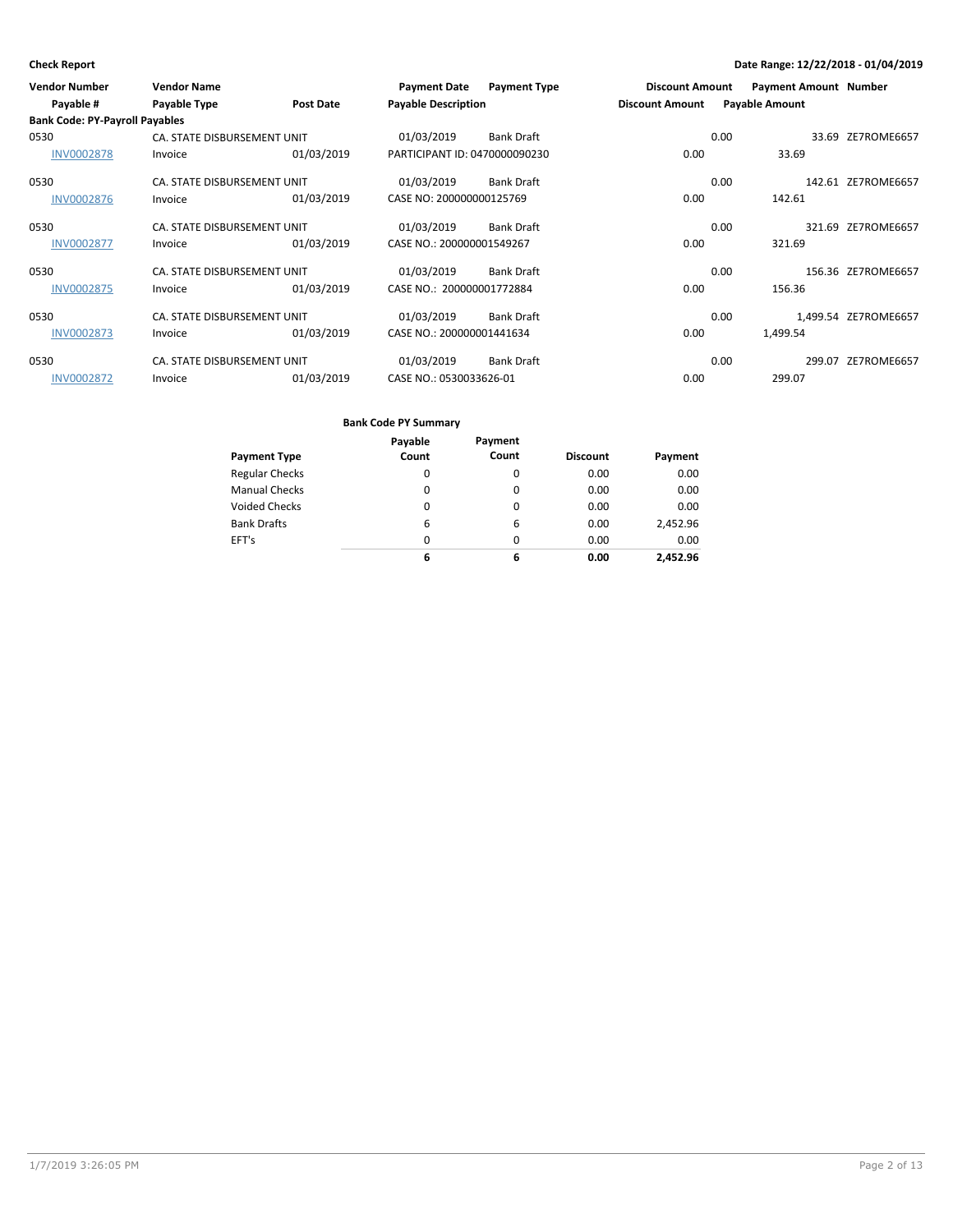| <b>Vendor Number</b>                  | <b>Vendor Name</b>          |                  | <b>Payment Date</b>           | <b>Payment Type</b> | <b>Discount Amount</b> |      | <b>Payment Amount Number</b> |                      |
|---------------------------------------|-----------------------------|------------------|-------------------------------|---------------------|------------------------|------|------------------------------|----------------------|
| Payable #                             | Payable Type                | <b>Post Date</b> | <b>Payable Description</b>    |                     | <b>Discount Amount</b> |      | <b>Payable Amount</b>        |                      |
| <b>Bank Code: PY-Payroll Payables</b> |                             |                  |                               |                     |                        |      |                              |                      |
| 0530                                  | CA. STATE DISBURSEMENT UNIT |                  | 01/03/2019                    | <b>Bank Draft</b>   |                        | 0.00 | 33.69                        | ZE7ROME6657          |
| <b>INV0002878</b>                     | Invoice                     | 01/03/2019       | PARTICIPANT ID: 0470000090230 |                     | 0.00                   |      | 33.69                        |                      |
| 0530                                  | CA. STATE DISBURSEMENT UNIT |                  | 01/03/2019                    | <b>Bank Draft</b>   |                        | 0.00 |                              | 142.61 ZE7ROME6657   |
| <b>INV0002876</b>                     | Invoice                     | 01/03/2019       | CASE NO: 200000000125769      |                     | 0.00                   |      | 142.61                       |                      |
| 0530                                  | CA. STATE DISBURSEMENT UNIT |                  | 01/03/2019                    | <b>Bank Draft</b>   |                        | 0.00 | 321.69                       | ZE7ROME6657          |
| <b>INV0002877</b>                     | Invoice                     | 01/03/2019       | CASE NO.: 200000001549267     |                     | 0.00                   |      | 321.69                       |                      |
| 0530                                  | CA. STATE DISBURSEMENT UNIT |                  | 01/03/2019                    | <b>Bank Draft</b>   |                        | 0.00 |                              | 156.36 ZE7ROME6657   |
| <b>INV0002875</b>                     | Invoice                     | 01/03/2019       | CASE NO.: 200000001772884     |                     | 0.00                   |      | 156.36                       |                      |
| 0530                                  | CA. STATE DISBURSEMENT UNIT |                  | 01/03/2019                    | <b>Bank Draft</b>   |                        | 0.00 |                              | 1,499.54 ZE7ROME6657 |
| <b>INV0002873</b>                     | Invoice                     | 01/03/2019       | CASE NO.: 200000001441634     |                     | 0.00                   |      | 1,499.54                     |                      |
| 0530                                  | CA. STATE DISBURSEMENT UNIT |                  | 01/03/2019                    | <b>Bank Draft</b>   |                        | 0.00 | 299.07                       | ZE7ROME6657          |
| <b>INV0002872</b>                     | Invoice                     | 01/03/2019       | CASE NO.: 0530033626-01       |                     | 0.00                   |      | 299.07                       |                      |

|                       | Payable  | Payment  |                 |          |
|-----------------------|----------|----------|-----------------|----------|
| <b>Payment Type</b>   | Count    | Count    | <b>Discount</b> | Payment  |
| <b>Regular Checks</b> | 0        | 0        | 0.00            | 0.00     |
| <b>Manual Checks</b>  | $\Omega$ | $\Omega$ | 0.00            | 0.00     |
| <b>Voided Checks</b>  | 0        | $\Omega$ | 0.00            | 0.00     |
| <b>Bank Drafts</b>    | 6        | 6        | 0.00            | 2,452.96 |
| EFT's                 | $\Omega$ | $\Omega$ | 0.00            | 0.00     |
|                       | 6        | 6        | 0.00            | 2.452.96 |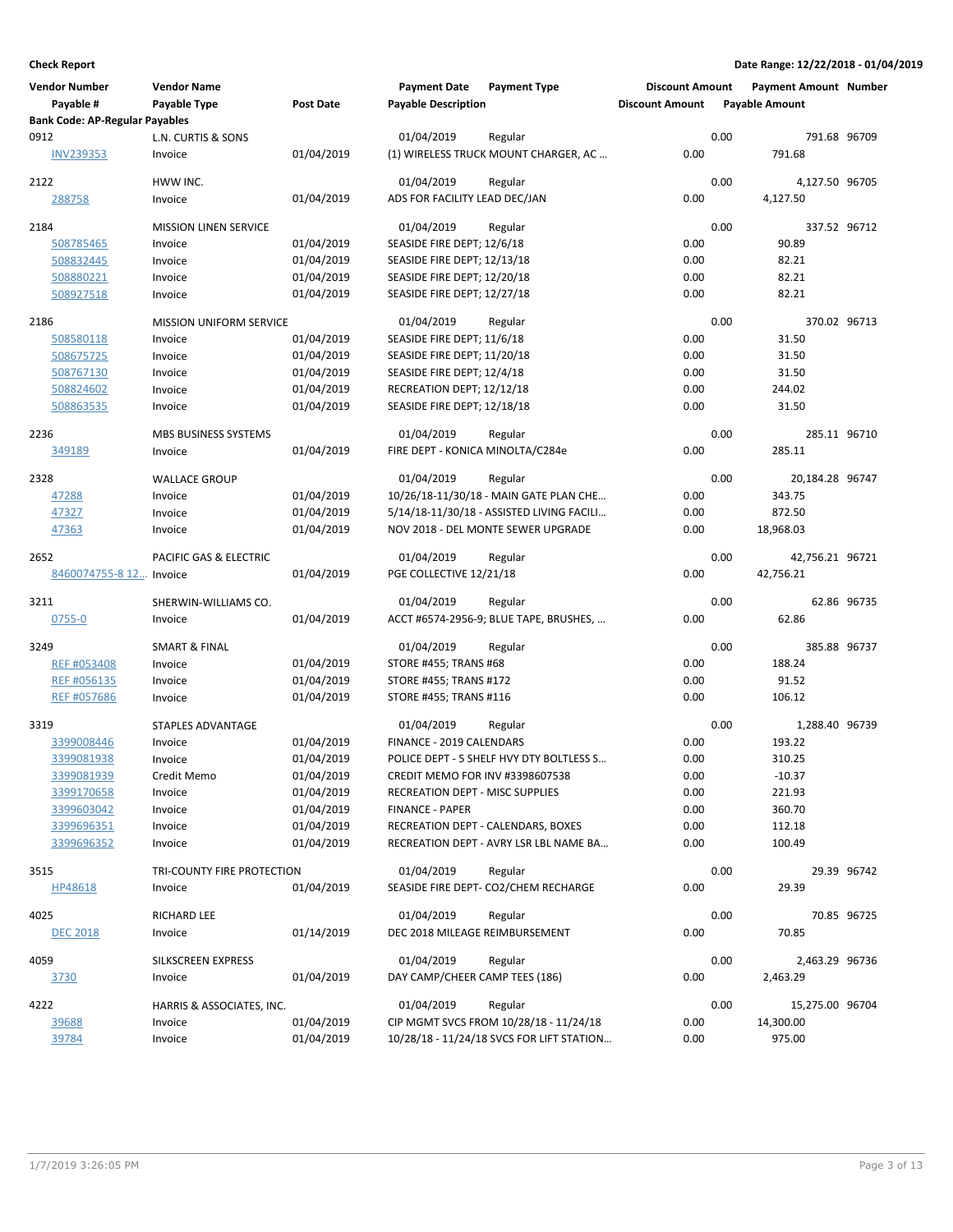| <b>Vendor Number</b>                  | <b>Vendor Name</b>             |                  | <b>Payment Date</b>              | <b>Payment Type</b>                               | <b>Discount Amount</b> |      | <b>Payment Amount Number</b> |             |
|---------------------------------------|--------------------------------|------------------|----------------------------------|---------------------------------------------------|------------------------|------|------------------------------|-------------|
| Payable #                             | Payable Type                   | <b>Post Date</b> | <b>Payable Description</b>       |                                                   | <b>Discount Amount</b> |      | <b>Payable Amount</b>        |             |
| <b>Bank Code: AP-Regular Payables</b> |                                |                  |                                  |                                                   |                        |      |                              |             |
| 0912                                  | L.N. CURTIS & SONS             |                  | 01/04/2019                       | Regular                                           |                        | 0.00 | 791.68 96709                 |             |
| <b>INV239353</b>                      | Invoice                        | 01/04/2019       |                                  | (1) WIRELESS TRUCK MOUNT CHARGER, AC              | 0.00                   |      | 791.68                       |             |
| 2122                                  | HWW INC.                       |                  | 01/04/2019                       | Regular                                           |                        | 0.00 | 4,127.50 96705               |             |
| 288758                                | Invoice                        | 01/04/2019       | ADS FOR FACILITY LEAD DEC/JAN    |                                                   | 0.00                   |      | 4,127.50                     |             |
|                                       |                                |                  |                                  |                                                   |                        |      |                              |             |
| 2184                                  | <b>MISSION LINEN SERVICE</b>   |                  | 01/04/2019                       | Regular                                           |                        | 0.00 | 337.52 96712                 |             |
| 508785465                             | Invoice                        | 01/04/2019       | SEASIDE FIRE DEPT; 12/6/18       |                                                   | 0.00                   |      | 90.89                        |             |
| 508832445                             | Invoice                        | 01/04/2019       | SEASIDE FIRE DEPT; 12/13/18      |                                                   | 0.00                   |      | 82.21                        |             |
| 508880221                             | Invoice                        | 01/04/2019       | SEASIDE FIRE DEPT; 12/20/18      |                                                   | 0.00                   |      | 82.21                        |             |
| 508927518                             | Invoice                        | 01/04/2019       | SEASIDE FIRE DEPT; 12/27/18      |                                                   | 0.00                   |      | 82.21                        |             |
| 2186                                  | <b>MISSION UNIFORM SERVICE</b> |                  | 01/04/2019                       | Regular                                           |                        | 0.00 | 370.02 96713                 |             |
| 508580118                             | Invoice                        | 01/04/2019       | SEASIDE FIRE DEPT; 11/6/18       |                                                   | 0.00                   |      | 31.50                        |             |
| 508675725                             | Invoice                        | 01/04/2019       | SEASIDE FIRE DEPT; 11/20/18      |                                                   | 0.00                   |      | 31.50                        |             |
| 508767130                             | Invoice                        | 01/04/2019       | SEASIDE FIRE DEPT; 12/4/18       |                                                   | 0.00                   |      | 31.50                        |             |
| 508824602                             | Invoice                        | 01/04/2019       | RECREATION DEPT; 12/12/18        |                                                   | 0.00                   |      | 244.02                       |             |
| 508863535                             | Invoice                        | 01/04/2019       | SEASIDE FIRE DEPT; 12/18/18      |                                                   | 0.00                   |      | 31.50                        |             |
| 2236                                  | MBS BUSINESS SYSTEMS           |                  | 01/04/2019                       | Regular                                           |                        | 0.00 | 285.11 96710                 |             |
| 349189                                | Invoice                        | 01/04/2019       | FIRE DEPT - KONICA MINOLTA/C284e |                                                   | 0.00                   |      | 285.11                       |             |
|                                       |                                |                  |                                  |                                                   |                        |      |                              |             |
| 2328                                  | <b>WALLACE GROUP</b>           |                  | 01/04/2019                       | Regular                                           |                        | 0.00 | 20,184.28 96747              |             |
| 47288                                 | Invoice                        | 01/04/2019       |                                  | 10/26/18-11/30/18 - MAIN GATE PLAN CHE            | 0.00                   |      | 343.75                       |             |
| 47327                                 | Invoice                        | 01/04/2019       |                                  | 5/14/18-11/30/18 - ASSISTED LIVING FACILI         | 0.00                   |      | 872.50                       |             |
| 47363                                 | Invoice                        | 01/04/2019       |                                  | NOV 2018 - DEL MONTE SEWER UPGRADE                | 0.00                   |      | 18,968.03                    |             |
| 2652                                  | PACIFIC GAS & ELECTRIC         |                  | 01/04/2019                       | Regular                                           |                        | 0.00 | 42,756.21 96721              |             |
| 8460074755-8 12 Invoice               |                                | 01/04/2019       | PGE COLLECTIVE 12/21/18          |                                                   | 0.00                   |      | 42,756.21                    |             |
|                                       | SHERWIN-WILLIAMS CO.           |                  |                                  |                                                   |                        | 0.00 |                              | 62.86 96735 |
| 3211<br>0755-0                        | Invoice                        | 01/04/2019       | 01/04/2019                       | Regular<br>ACCT #6574-2956-9; BLUE TAPE, BRUSHES, | 0.00                   |      | 62.86                        |             |
|                                       |                                |                  |                                  |                                                   |                        |      |                              |             |
| 3249                                  | <b>SMART &amp; FINAL</b>       |                  | 01/04/2019                       | Regular                                           |                        | 0.00 | 385.88 96737                 |             |
| REF #053408                           | Invoice                        | 01/04/2019       | STORE #455; TRANS #68            |                                                   | 0.00                   |      | 188.24                       |             |
| REF #056135                           | Invoice                        | 01/04/2019       | STORE #455; TRANS #172           |                                                   | 0.00                   |      | 91.52                        |             |
| REF #057686                           | Invoice                        | 01/04/2019       | STORE #455; TRANS #116           |                                                   | 0.00                   |      | 106.12                       |             |
| 3319                                  | <b>STAPLES ADVANTAGE</b>       |                  | 01/04/2019                       | Regular                                           |                        | 0.00 | 1,288.40 96739               |             |
| 3399008446                            | Invoice                        | 01/04/2019       | FINANCE - 2019 CALENDARS         |                                                   | 0.00                   |      | 193.22                       |             |
| 3399081938                            | Invoice                        | 01/04/2019       |                                  | POLICE DEPT - 5 SHELF HVY DTY BOLTLESS S          | 0.00                   |      | 310.25                       |             |
| 3399081939                            | Credit Memo                    | 01/04/2019       | CREDIT MEMO FOR INV #3398607538  |                                                   | 0.00                   |      | $-10.37$                     |             |
| 3399170658                            | Invoice                        | 01/04/2019       | RECREATION DEPT - MISC SUPPLIES  |                                                   | 0.00                   |      | 221.93                       |             |
| 3399603042                            | Invoice                        | 01/04/2019       | <b>FINANCE - PAPER</b>           |                                                   | 0.00                   |      | 360.70                       |             |
| 3399696351                            | Invoice                        | 01/04/2019       |                                  | RECREATION DEPT - CALENDARS, BOXES                | 0.00                   |      | 112.18                       |             |
| 3399696352                            | Invoice                        | 01/04/2019       |                                  | RECREATION DEPT - AVRY LSR LBL NAME BA            | 0.00                   |      | 100.49                       |             |
|                                       |                                |                  |                                  |                                                   |                        |      |                              |             |
| 3515                                  | TRI-COUNTY FIRE PROTECTION     |                  | 01/04/2019                       | Regular                                           |                        | 0.00 |                              | 29.39 96742 |
| HP48618                               | Invoice                        | 01/04/2019       |                                  | SEASIDE FIRE DEPT- CO2/CHEM RECHARGE              | 0.00                   |      | 29.39                        |             |
| 4025                                  | RICHARD LEE                    |                  | 01/04/2019                       | Regular                                           |                        | 0.00 |                              | 70.85 96725 |
| <b>DEC 2018</b>                       | Invoice                        | 01/14/2019       | DEC 2018 MILEAGE REIMBURSEMENT   |                                                   | 0.00                   |      | 70.85                        |             |
| 4059                                  |                                |                  | 01/04/2019                       |                                                   |                        | 0.00 |                              |             |
|                                       | SILKSCREEN EXPRESS<br>Invoice  | 01/04/2019       | DAY CAMP/CHEER CAMP TEES (186)   | Regular                                           | 0.00                   |      | 2,463.29 96736<br>2,463.29   |             |
| 3730                                  |                                |                  |                                  |                                                   |                        |      |                              |             |
| 4222                                  | HARRIS & ASSOCIATES, INC.      |                  | 01/04/2019                       | Regular                                           |                        | 0.00 | 15,275.00 96704              |             |
| 39688                                 | Invoice                        | 01/04/2019       |                                  | CIP MGMT SVCS FROM 10/28/18 - 11/24/18            | 0.00                   |      | 14,300.00                    |             |
| 39784                                 | Invoice                        | 01/04/2019       |                                  | 10/28/18 - 11/24/18 SVCS FOR LIFT STATION         | 0.00                   |      | 975.00                       |             |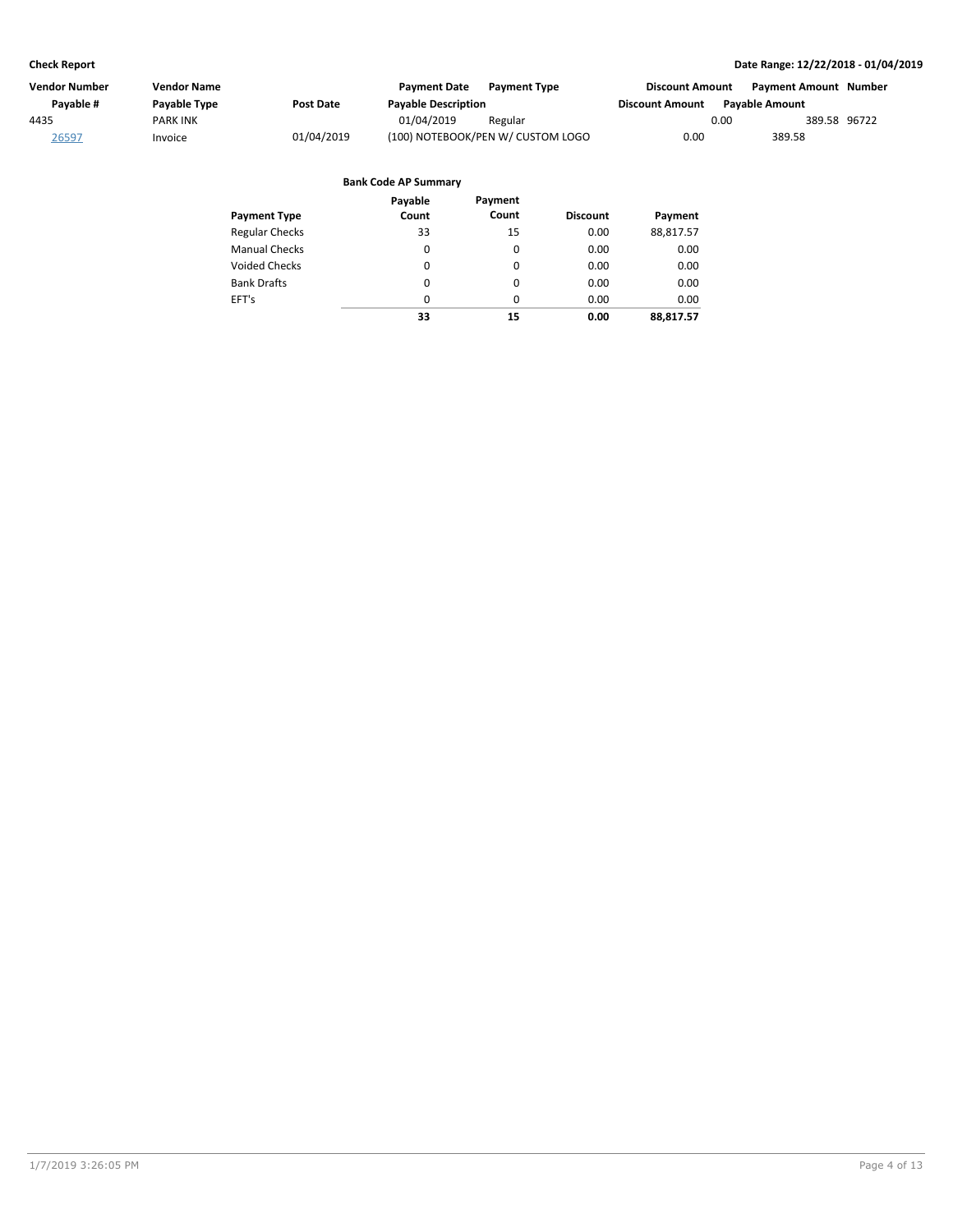| Vendor Number | Vendor Name     |            | <b>Payment Date</b><br><b>Payment Type</b> | <b>Discount Amount</b> | <b>Payment Amount Number</b> |
|---------------|-----------------|------------|--------------------------------------------|------------------------|------------------------------|
| Pavable #     | Payable Type    | Post Date  | <b>Payable Description</b>                 | <b>Discount Amount</b> | <b>Pavable Amount</b>        |
| 4435          | <b>PARK INK</b> |            | 01/04/2019<br>Regular                      | 0.00                   | 389.58 96722                 |
| 26597         | Invoice         | 01/04/2019 | (100) NOTEBOOK/PEN W/ CUSTOM LOGO          | 0.00                   | 389.58                       |

|                       | Payable  | Payment  |                 |           |
|-----------------------|----------|----------|-----------------|-----------|
| <b>Payment Type</b>   | Count    | Count    | <b>Discount</b> | Payment   |
| <b>Regular Checks</b> | 33       | 15       | 0.00            | 88,817.57 |
| <b>Manual Checks</b>  | 0        | 0        | 0.00            | 0.00      |
| Voided Checks         | 0        | $\Omega$ | 0.00            | 0.00      |
| <b>Bank Drafts</b>    | 0        | 0        | 0.00            | 0.00      |
| EFT's                 | $\Omega$ | $\Omega$ | 0.00            | 0.00      |
|                       | 33       | 15       | 0.00            | 88.817.57 |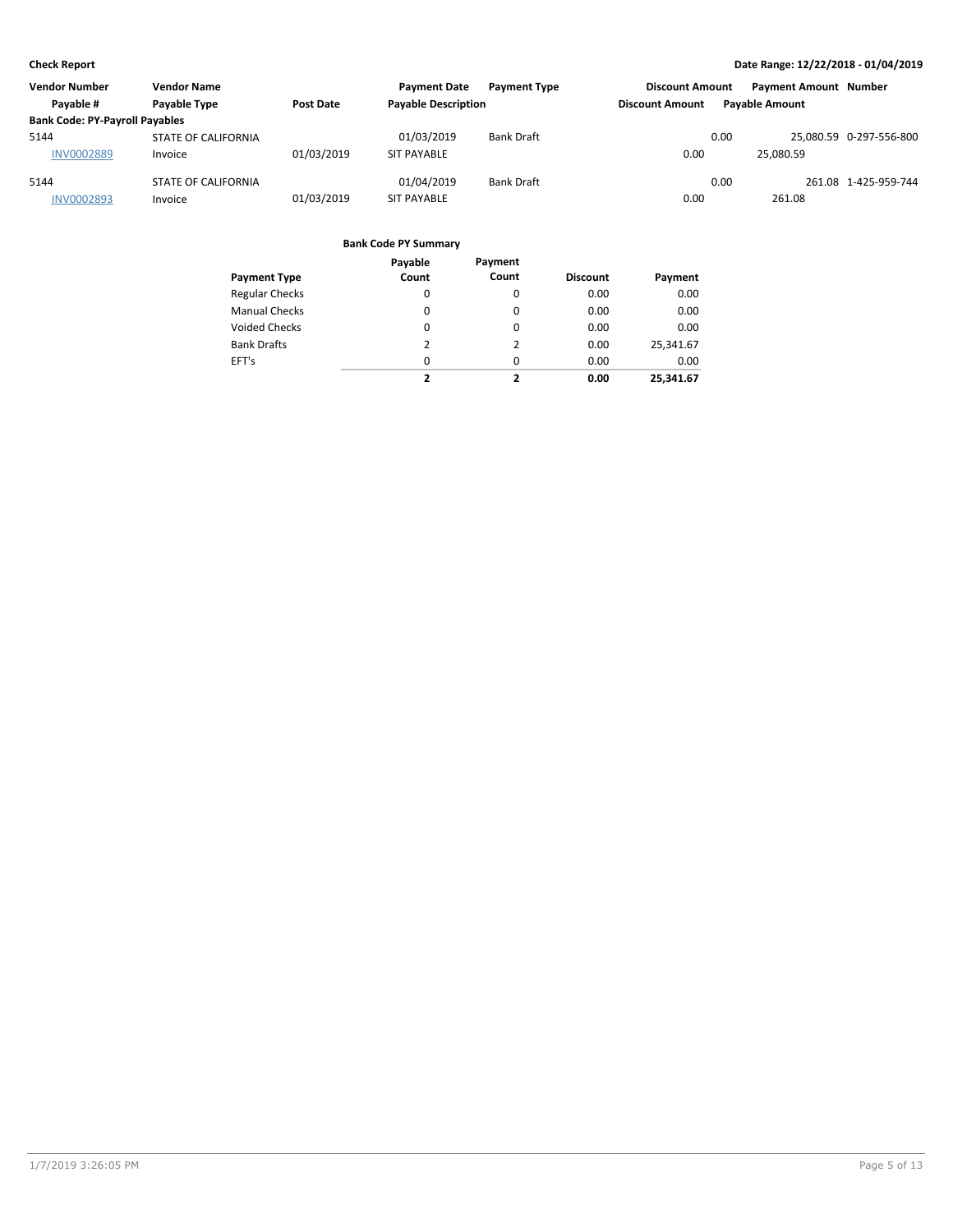| <b>Vendor Number</b>                  | <b>Vendor Name</b>  |            | <b>Payment Date</b>        | <b>Payment Type</b> | <b>Discount Amount</b> |      | <b>Payment Amount Number</b> |                         |
|---------------------------------------|---------------------|------------|----------------------------|---------------------|------------------------|------|------------------------------|-------------------------|
| Payable #                             | Payable Type        | Post Date  | <b>Payable Description</b> |                     | <b>Discount Amount</b> |      | <b>Pavable Amount</b>        |                         |
| <b>Bank Code: PY-Payroll Payables</b> |                     |            |                            |                     |                        |      |                              |                         |
| 5144                                  | STATE OF CALIFORNIA |            | 01/03/2019                 | Bank Draft          |                        | 0.00 |                              | 25.080.59 0-297-556-800 |
| <b>INV0002889</b>                     | Invoice             | 01/03/2019 | <b>SIT PAYABLE</b>         |                     | 0.00                   |      | 25.080.59                    |                         |
| 5144                                  | STATE OF CALIFORNIA |            | 01/04/2019                 | <b>Bank Draft</b>   |                        | 0.00 |                              | 261.08 1-425-959-744    |
| <b>INV0002893</b>                     | Invoice             | 01/03/2019 | <b>SIT PAYABLE</b>         |                     | 0.00                   |      | 261.08                       |                         |

|                       | Payable  | Payment                  |                 |           |
|-----------------------|----------|--------------------------|-----------------|-----------|
| <b>Payment Type</b>   | Count    | Count                    | <b>Discount</b> | Payment   |
| <b>Regular Checks</b> | 0        | 0                        | 0.00            | 0.00      |
| <b>Manual Checks</b>  | $\Omega$ | 0                        | 0.00            | 0.00      |
| <b>Voided Checks</b>  | 0        | $\Omega$                 | 0.00            | 0.00      |
| <b>Bank Drafts</b>    | 2        | 2                        | 0.00            | 25,341.67 |
| EFT's                 | $\Omega$ | $\Omega$                 | 0.00            | 0.00      |
|                       | ,        | $\overline{\phantom{a}}$ | 0.00            | 25.341.67 |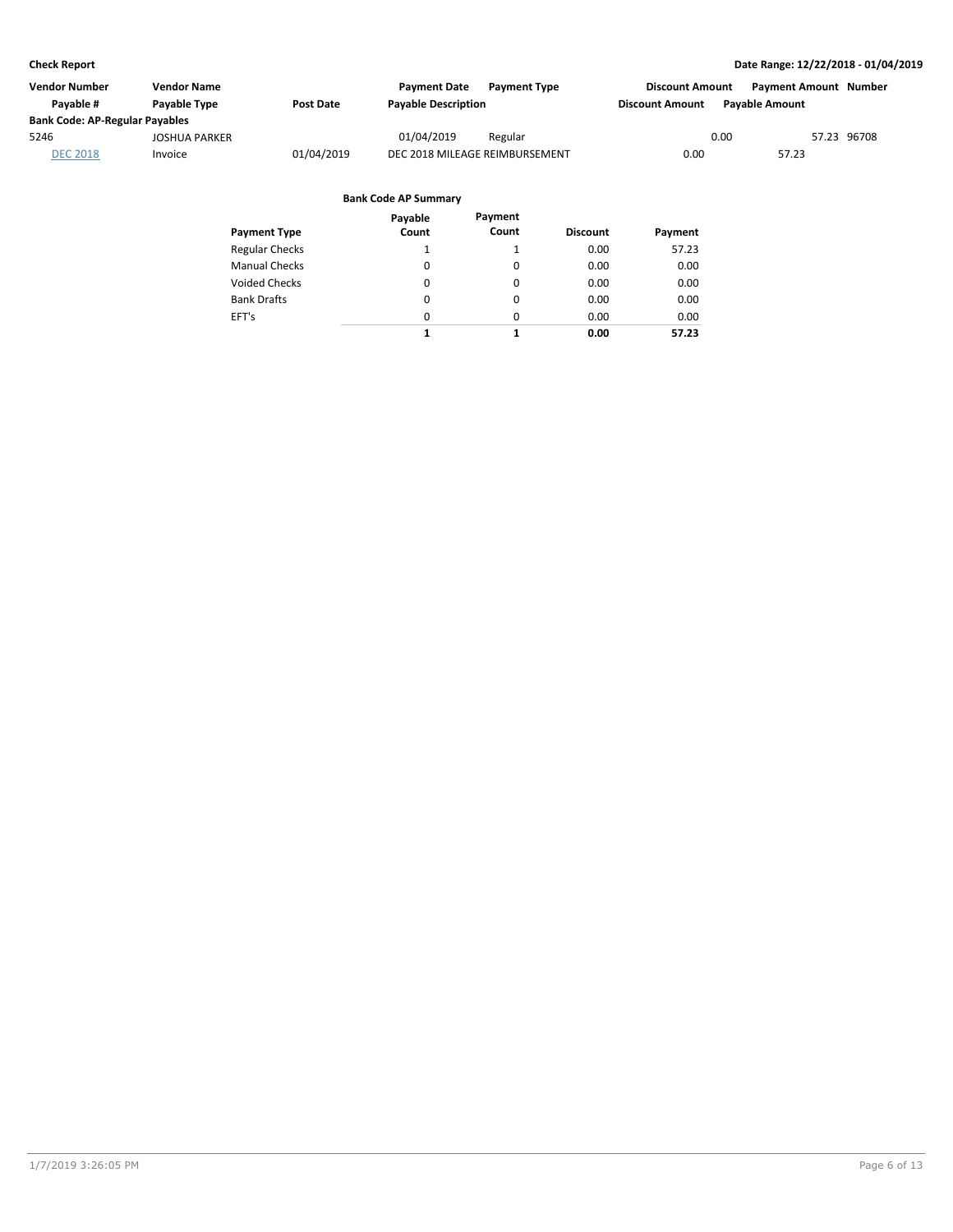| <b>Vendor Number</b>                  | <b>Vendor Name</b>   |            | <b>Payment Date</b><br><b>Payment Type</b> | <b>Discount Amount</b> |                       | <b>Payment Amount Number</b> |
|---------------------------------------|----------------------|------------|--------------------------------------------|------------------------|-----------------------|------------------------------|
| Pavable #                             | <b>Pavable Type</b>  | Post Date  | <b>Payable Description</b>                 | <b>Discount Amount</b> | <b>Pavable Amount</b> |                              |
| <b>Bank Code: AP-Regular Payables</b> |                      |            |                                            |                        |                       |                              |
| 5246                                  | <b>JOSHUA PARKER</b> |            | 01/04/2019<br>Regular                      |                        | 0.00                  | 57.23 96708                  |
| <b>DEC 2018</b>                       | Invoice              | 01/04/2019 | DEC 2018 MILEAGE REIMBURSEMENT             | 0.00                   | 57.23                 |                              |

| Payment Type          | Payable<br>Count | Payment<br>Count | <b>Discount</b> | Payment |
|-----------------------|------------------|------------------|-----------------|---------|
| <b>Regular Checks</b> | 1                |                  | 0.00            | 57.23   |
| <b>Manual Checks</b>  | $\Omega$         | 0                | 0.00            | 0.00    |
| <b>Voided Checks</b>  | 0                | 0                | 0.00            | 0.00    |
| <b>Bank Drafts</b>    | 0                | 0                | 0.00            | 0.00    |
| EFT's                 | $\Omega$         | 0                | 0.00            | 0.00    |
|                       | 1                | 1                | 0.00            | 57.23   |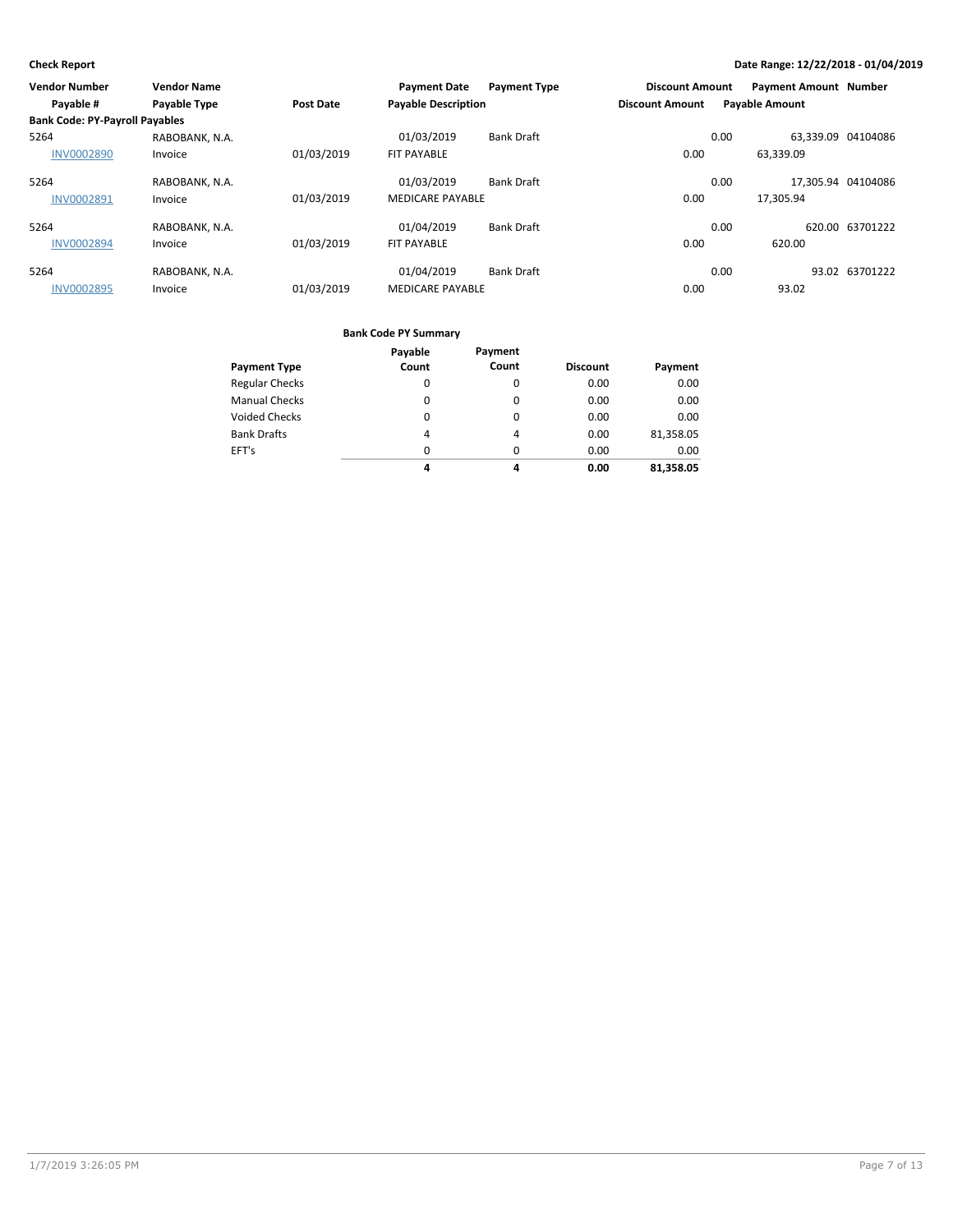| <b>Vendor Number</b>                  | <b>Vendor Name</b> |                  | <b>Payment Date</b>        | <b>Payment Type</b> | <b>Discount Amount</b> |      | <b>Payment Amount Number</b> |                 |
|---------------------------------------|--------------------|------------------|----------------------------|---------------------|------------------------|------|------------------------------|-----------------|
| Payable #                             | Payable Type       | <b>Post Date</b> | <b>Payable Description</b> |                     | <b>Discount Amount</b> |      | <b>Payable Amount</b>        |                 |
| <b>Bank Code: PY-Payroll Payables</b> |                    |                  |                            |                     |                        |      |                              |                 |
| 5264                                  | RABOBANK, N.A.     |                  | 01/03/2019                 | <b>Bank Draft</b>   |                        | 0.00 | 63.339.09 04104086           |                 |
| <b>INV0002890</b>                     | Invoice            | 01/03/2019       | <b>FIT PAYABLE</b>         |                     | 0.00                   |      | 63,339.09                    |                 |
| 5264                                  | RABOBANK, N.A.     |                  | 01/03/2019                 | <b>Bank Draft</b>   |                        | 0.00 | 17.305.94 04104086           |                 |
| <b>INV0002891</b>                     | Invoice            | 01/03/2019       | <b>MEDICARE PAYABLE</b>    |                     | 0.00                   |      | 17.305.94                    |                 |
| 5264                                  | RABOBANK, N.A.     |                  | 01/04/2019                 | <b>Bank Draft</b>   |                        | 0.00 |                              | 620.00 63701222 |
| <b>INV0002894</b>                     | Invoice            | 01/03/2019       | <b>FIT PAYABLE</b>         |                     | 0.00                   |      | 620.00                       |                 |
| 5264                                  | RABOBANK, N.A.     |                  | 01/04/2019                 | <b>Bank Draft</b>   |                        | 0.00 |                              | 93.02 63701222  |
| <b>INV0002895</b>                     | Invoice            | 01/03/2019       | <b>MEDICARE PAYABLE</b>    |                     | 0.00                   |      | 93.02                        |                 |

|                       | Payable  | Payment  |                 |           |
|-----------------------|----------|----------|-----------------|-----------|
| <b>Payment Type</b>   | Count    | Count    | <b>Discount</b> | Payment   |
| <b>Regular Checks</b> | 0        | 0        | 0.00            | 0.00      |
| <b>Manual Checks</b>  | $\Omega$ | $\Omega$ | 0.00            | 0.00      |
| <b>Voided Checks</b>  | $\Omega$ | $\Omega$ | 0.00            | 0.00      |
| <b>Bank Drafts</b>    | 4        | 4        | 0.00            | 81,358.05 |
| EFT's                 | $\Omega$ | $\Omega$ | 0.00            | 0.00      |
|                       | 4        | 4        | 0.00            | 81,358.05 |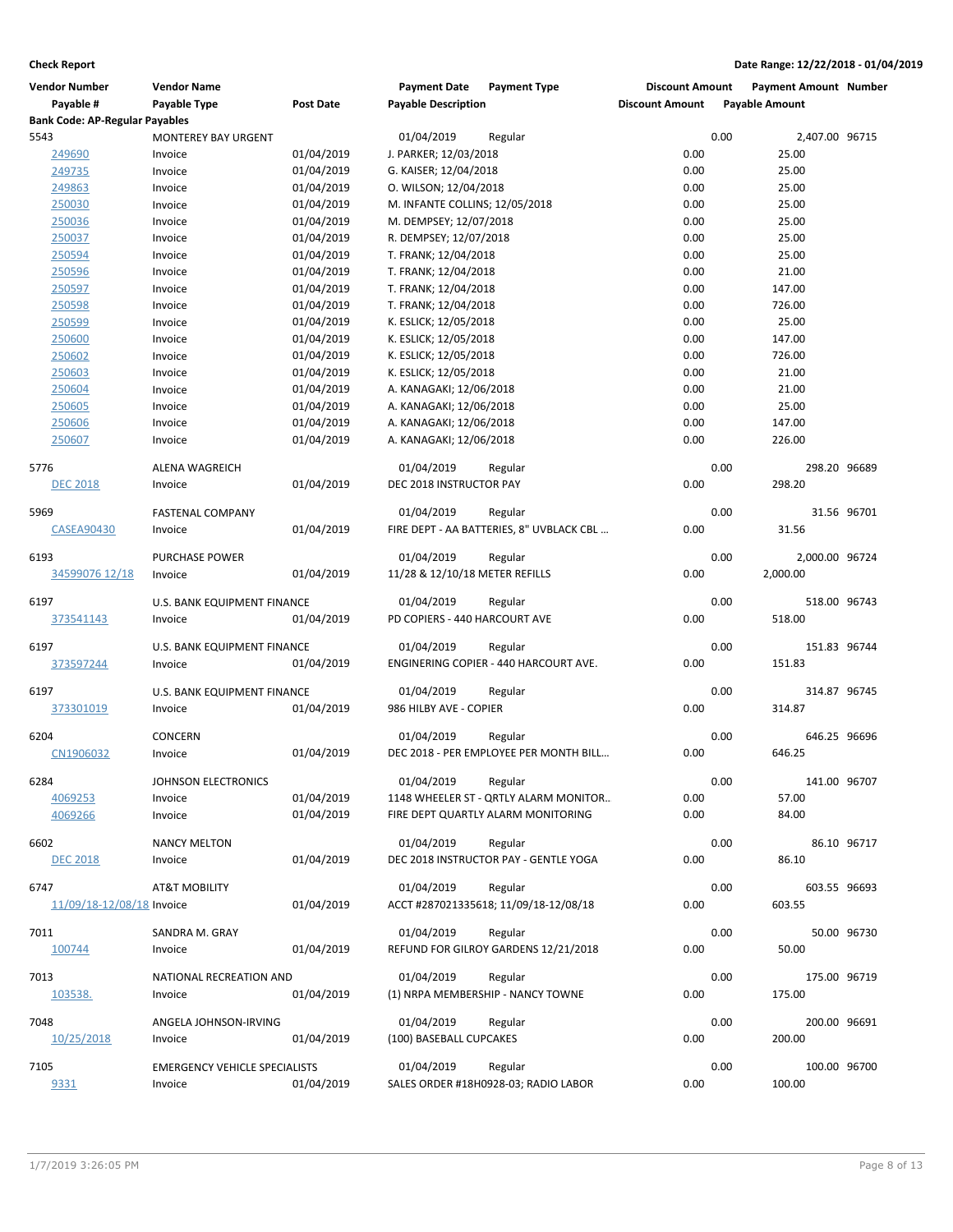| <b>Vendor Number</b>                  | <b>Vendor Name</b>                   |                  | <b>Payment Date</b>                         | <b>Payment Type</b>                      | <b>Discount Amount</b> |      | <b>Payment Amount Number</b> |             |
|---------------------------------------|--------------------------------------|------------------|---------------------------------------------|------------------------------------------|------------------------|------|------------------------------|-------------|
| Payable #                             | <b>Payable Type</b>                  | <b>Post Date</b> | <b>Payable Description</b>                  |                                          | <b>Discount Amount</b> |      | <b>Payable Amount</b>        |             |
| <b>Bank Code: AP-Regular Payables</b> |                                      |                  |                                             |                                          |                        |      |                              |             |
| 5543                                  | <b>MONTEREY BAY URGENT</b>           |                  | 01/04/2019                                  | Regular                                  |                        | 0.00 | 2,407.00 96715               |             |
| 249690                                | Invoice                              | 01/04/2019       | J. PARKER; 12/03/2018                       |                                          | 0.00                   |      | 25.00                        |             |
| 249735                                | Invoice                              | 01/04/2019       | G. KAISER; 12/04/2018                       |                                          | 0.00                   |      | 25.00                        |             |
| 249863                                | Invoice                              | 01/04/2019       | O. WILSON; 12/04/2018                       |                                          | 0.00                   |      | 25.00                        |             |
| 250030                                | Invoice                              | 01/04/2019       | M. INFANTE COLLINS; 12/05/2018              |                                          | 0.00                   |      | 25.00                        |             |
| 250036                                | Invoice                              | 01/04/2019       | M. DEMPSEY; 12/07/2018                      |                                          | 0.00                   |      | 25.00                        |             |
| 250037                                | Invoice                              | 01/04/2019       | R. DEMPSEY; 12/07/2018                      |                                          | 0.00                   |      | 25.00                        |             |
| 250594                                | Invoice                              | 01/04/2019       | T. FRANK; 12/04/2018                        |                                          | 0.00                   |      | 25.00                        |             |
| 250596                                | Invoice                              | 01/04/2019       | T. FRANK; 12/04/2018                        |                                          | 0.00                   |      | 21.00                        |             |
| 250597                                | Invoice                              | 01/04/2019       | T. FRANK; 12/04/2018                        |                                          | 0.00                   |      | 147.00                       |             |
| 250598                                | Invoice                              | 01/04/2019       | T. FRANK; 12/04/2018                        |                                          | 0.00                   |      | 726.00                       |             |
| 250599                                | Invoice                              | 01/04/2019       | K. ESLICK; 12/05/2018                       |                                          | 0.00                   |      | 25.00                        |             |
| 250600                                | Invoice                              | 01/04/2019       | K. ESLICK; 12/05/2018                       |                                          | 0.00                   |      | 147.00                       |             |
| 250602                                | Invoice                              | 01/04/2019       | K. ESLICK; 12/05/2018                       |                                          | 0.00                   |      | 726.00                       |             |
| 250603                                | Invoice                              | 01/04/2019       | K. ESLICK; 12/05/2018                       |                                          | 0.00                   |      | 21.00                        |             |
| 250604                                | Invoice                              | 01/04/2019       | A. KANAGAKI; 12/06/2018                     |                                          | 0.00                   |      | 21.00                        |             |
| 250605                                | Invoice                              | 01/04/2019       | A. KANAGAKI; 12/06/2018                     |                                          | 0.00                   |      | 25.00                        |             |
| 250606                                | Invoice                              | 01/04/2019       | A. KANAGAKI; 12/06/2018                     |                                          | 0.00                   |      | 147.00                       |             |
| 250607                                | Invoice                              | 01/04/2019       | A. KANAGAKI; 12/06/2018                     |                                          | 0.00                   |      | 226.00                       |             |
|                                       |                                      |                  |                                             |                                          |                        |      |                              |             |
| 5776                                  | <b>ALENA WAGREICH</b>                |                  | 01/04/2019                                  | Regular                                  |                        | 0.00 | 298.20 96689                 |             |
| <b>DEC 2018</b>                       | Invoice                              | 01/04/2019       | DEC 2018 INSTRUCTOR PAY                     |                                          | 0.00                   |      | 298.20                       |             |
| 5969                                  | <b>FASTENAL COMPANY</b>              |                  | 01/04/2019                                  | Regular                                  |                        | 0.00 |                              | 31.56 96701 |
| <b>CASEA90430</b>                     | Invoice                              | 01/04/2019       |                                             | FIRE DEPT - AA BATTERIES, 8" UVBLACK CBL | 0.00                   |      | 31.56                        |             |
|                                       |                                      |                  |                                             |                                          |                        |      |                              |             |
| 6193                                  | <b>PURCHASE POWER</b>                |                  | 01/04/2019                                  | Regular                                  |                        | 0.00 | 2,000.00 96724               |             |
| 34599076 12/18                        | Invoice                              | 01/04/2019       | 11/28 & 12/10/18 METER REFILLS              |                                          | 0.00                   |      | 2,000.00                     |             |
|                                       |                                      |                  |                                             |                                          |                        |      |                              |             |
| 6197                                  | U.S. BANK EQUIPMENT FINANCE          |                  | 01/04/2019<br>PD COPIERS - 440 HARCOURT AVE | Regular                                  | 0.00                   | 0.00 | 518.00 96743<br>518.00       |             |
| 373541143                             | Invoice                              | 01/04/2019       |                                             |                                          |                        |      |                              |             |
| 6197                                  | U.S. BANK EQUIPMENT FINANCE          |                  | 01/04/2019                                  | Regular                                  |                        | 0.00 | 151.83 96744                 |             |
| 373597244                             | Invoice                              | 01/04/2019       |                                             | ENGINERING COPIER - 440 HARCOURT AVE.    | 0.00                   |      | 151.83                       |             |
|                                       |                                      |                  |                                             |                                          |                        |      |                              |             |
| 6197                                  | U.S. BANK EQUIPMENT FINANCE          |                  | 01/04/2019                                  | Regular                                  |                        | 0.00 | 314.87 96745                 |             |
| 373301019                             | Invoice                              | 01/04/2019       | 986 HILBY AVE - COPIER                      |                                          | 0.00                   |      | 314.87                       |             |
| 6204                                  | CONCERN                              |                  | 01/04/2019                                  | Regular                                  |                        | 0.00 | 646.25 96696                 |             |
| CN1906032                             | Invoice                              | 01/04/2019       |                                             | DEC 2018 - PER EMPLOYEE PER MONTH BILL   | 0.00                   |      | 646.25                       |             |
|                                       |                                      |                  |                                             |                                          |                        |      |                              |             |
| 6284                                  | JOHNSON ELECTRONICS                  |                  | 01/04/2019                                  | Regular                                  |                        | 0.00 | 141.00 96707                 |             |
| 4069253                               | Invoice                              | 01/04/2019       |                                             | 1148 WHEELER ST - QRTLY ALARM MONITOR    | 0.00                   |      | 57.00                        |             |
| 4069266                               | Invoice                              | 01/04/2019       |                                             | FIRE DEPT QUARTLY ALARM MONITORING       | 0.00                   |      | 84.00                        |             |
|                                       |                                      |                  |                                             |                                          |                        |      |                              |             |
| 6602                                  | <b>NANCY MELTON</b>                  |                  | 01/04/2019                                  | Regular                                  |                        | 0.00 |                              | 86.10 96717 |
| <b>DEC 2018</b>                       | Invoice                              | 01/04/2019       |                                             | DEC 2018 INSTRUCTOR PAY - GENTLE YOGA    | 0.00                   |      | 86.10                        |             |
| 6747                                  | AT&T MOBILITY                        |                  | 01/04/2019                                  | Regular                                  |                        | 0.00 | 603.55 96693                 |             |
| 11/09/18-12/08/18 Invoice             |                                      | 01/04/2019       |                                             | ACCT #287021335618; 11/09/18-12/08/18    | 0.00                   |      | 603.55                       |             |
|                                       |                                      |                  |                                             |                                          |                        |      |                              |             |
| 7011                                  | SANDRA M. GRAY                       |                  | 01/04/2019                                  | Regular                                  |                        | 0.00 |                              | 50.00 96730 |
| 100744                                | Invoice                              | 01/04/2019       |                                             | REFUND FOR GILROY GARDENS 12/21/2018     | 0.00                   |      | 50.00                        |             |
|                                       |                                      |                  |                                             |                                          |                        |      |                              |             |
| 7013                                  | NATIONAL RECREATION AND              |                  | 01/04/2019                                  | Regular                                  |                        | 0.00 | 175.00 96719                 |             |
| 103538.                               | Invoice                              | 01/04/2019       |                                             | (1) NRPA MEMBERSHIP - NANCY TOWNE        | 0.00                   |      | 175.00                       |             |
| 7048                                  | ANGELA JOHNSON-IRVING                |                  | 01/04/2019                                  | Regular                                  |                        | 0.00 | 200.00 96691                 |             |
| 10/25/2018                            | Invoice                              | 01/04/2019       | (100) BASEBALL CUPCAKES                     |                                          | 0.00                   |      | 200.00                       |             |
|                                       |                                      |                  |                                             |                                          |                        |      |                              |             |
| 7105                                  | <b>EMERGENCY VEHICLE SPECIALISTS</b> |                  | 01/04/2019                                  | Regular                                  |                        | 0.00 | 100.00 96700                 |             |
| 9331                                  | Invoice                              | 01/04/2019       |                                             | SALES ORDER #18H0928-03; RADIO LABOR     | 0.00                   |      | 100.00                       |             |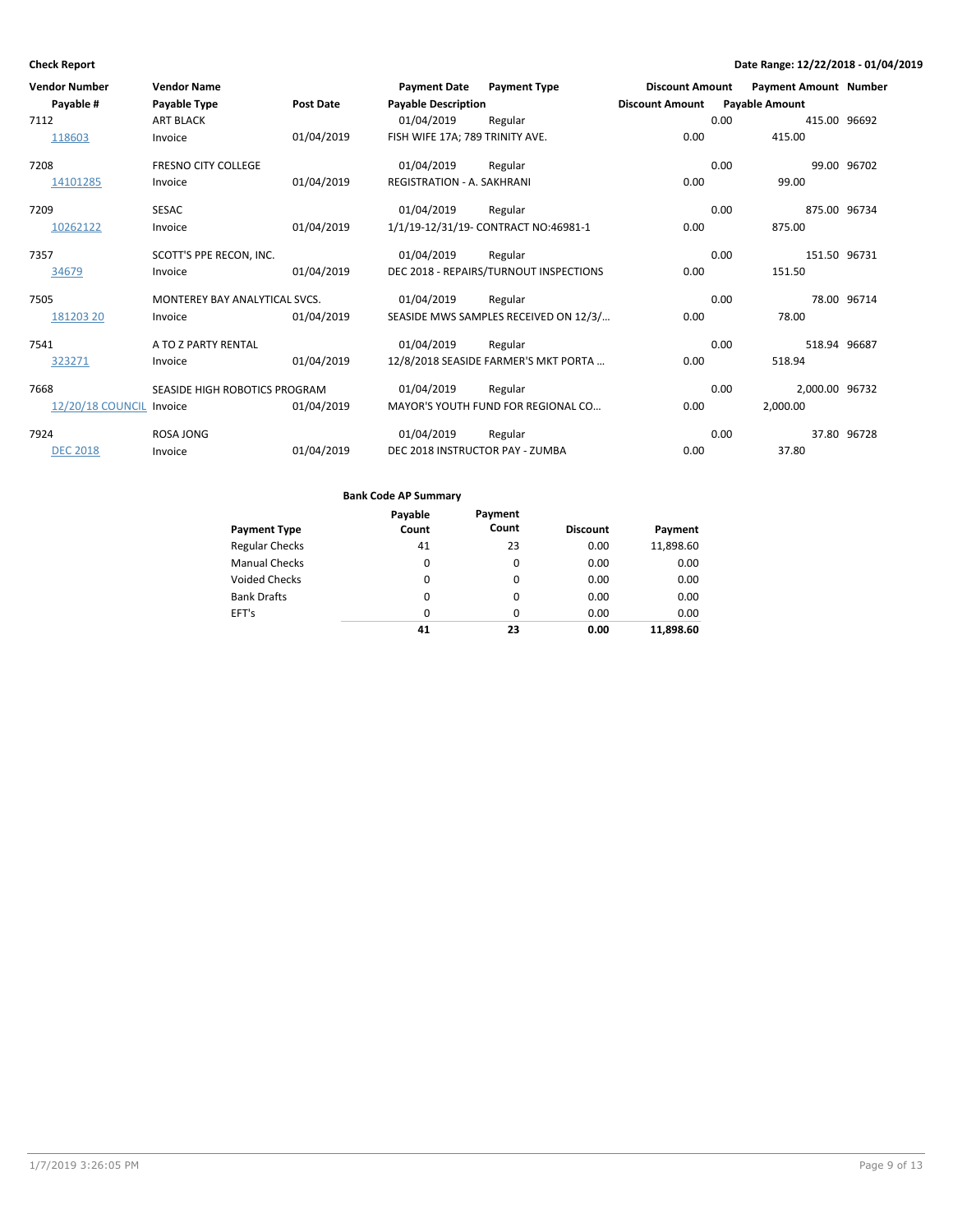| <b>Vendor Number</b>     | <b>Vendor Name</b>            |                  | <b>Payment Date</b>               | <b>Payment Type</b>                    | <b>Discount Amount</b> | <b>Payment Amount Number</b> |             |
|--------------------------|-------------------------------|------------------|-----------------------------------|----------------------------------------|------------------------|------------------------------|-------------|
| Payable #                | Payable Type                  | <b>Post Date</b> | <b>Payable Description</b>        |                                        | <b>Discount Amount</b> | <b>Payable Amount</b>        |             |
| 7112                     | <b>ART BLACK</b>              |                  | 01/04/2019                        | Regular                                |                        | 0.00<br>415.00 96692         |             |
| 118603                   | Invoice                       | 01/04/2019       | FISH WIFE 17A; 789 TRINITY AVE.   |                                        | 0.00                   | 415.00                       |             |
| 7208                     | <b>FRESNO CITY COLLEGE</b>    |                  | 01/04/2019                        | Regular                                |                        | 0.00                         | 99.00 96702 |
| 14101285                 | Invoice                       | 01/04/2019       | <b>REGISTRATION - A. SAKHRANI</b> |                                        | 0.00                   | 99.00                        |             |
| 7209                     | <b>SESAC</b>                  |                  | 01/04/2019                        | Regular                                |                        | 0.00<br>875.00 96734         |             |
| 10262122                 | Invoice                       | 01/04/2019       |                                   | 1/1/19-12/31/19- CONTRACT NO:46981-1   | 0.00                   | 875.00                       |             |
| 7357                     | SCOTT'S PPE RECON, INC.       |                  | 01/04/2019                        | Regular                                |                        | 0.00<br>151.50 96731         |             |
| 34679                    | Invoice                       | 01/04/2019       |                                   | DEC 2018 - REPAIRS/TURNOUT INSPECTIONS | 0.00                   | 151.50                       |             |
| 7505                     | MONTEREY BAY ANALYTICAL SVCS. |                  | 01/04/2019                        | Regular                                |                        | 0.00                         | 78.00 96714 |
| 181203 20                | Invoice                       | 01/04/2019       |                                   | SEASIDE MWS SAMPLES RECEIVED ON 12/3/  | 0.00                   | 78.00                        |             |
| 7541                     | A TO Z PARTY RENTAL           |                  | 01/04/2019                        | Regular                                |                        | 0.00<br>518.94 96687         |             |
| 323271                   | Invoice                       | 01/04/2019       |                                   | 12/8/2018 SEASIDE FARMER'S MKT PORTA   | 0.00                   | 518.94                       |             |
| 7668                     | SEASIDE HIGH ROBOTICS PROGRAM |                  | 01/04/2019                        | Regular                                |                        | 2,000.00 96732<br>0.00       |             |
| 12/20/18 COUNCIL Invoice |                               | 01/04/2019       |                                   | MAYOR'S YOUTH FUND FOR REGIONAL CO     | 0.00                   | 2,000.00                     |             |
| 7924                     | <b>ROSA JONG</b>              |                  | 01/04/2019                        | Regular                                |                        | 0.00                         | 37.80 96728 |
| <b>DEC 2018</b>          | Invoice                       | 01/04/2019       | DEC 2018 INSTRUCTOR PAY - ZUMBA   |                                        | 0.00                   | 37.80                        |             |

|                       | Payable | Payment  |                 |           |
|-----------------------|---------|----------|-----------------|-----------|
| <b>Payment Type</b>   | Count   | Count    | <b>Discount</b> | Payment   |
| <b>Regular Checks</b> | 41      | 23       | 0.00            | 11,898.60 |
| <b>Manual Checks</b>  | 0       | 0        | 0.00            | 0.00      |
| <b>Voided Checks</b>  | 0       | 0        | 0.00            | 0.00      |
| <b>Bank Drafts</b>    | 0       | 0        | 0.00            | 0.00      |
| EFT's                 | 0       | $\Omega$ | 0.00            | 0.00      |
|                       | 41      | 23       | 0.00            | 11.898.60 |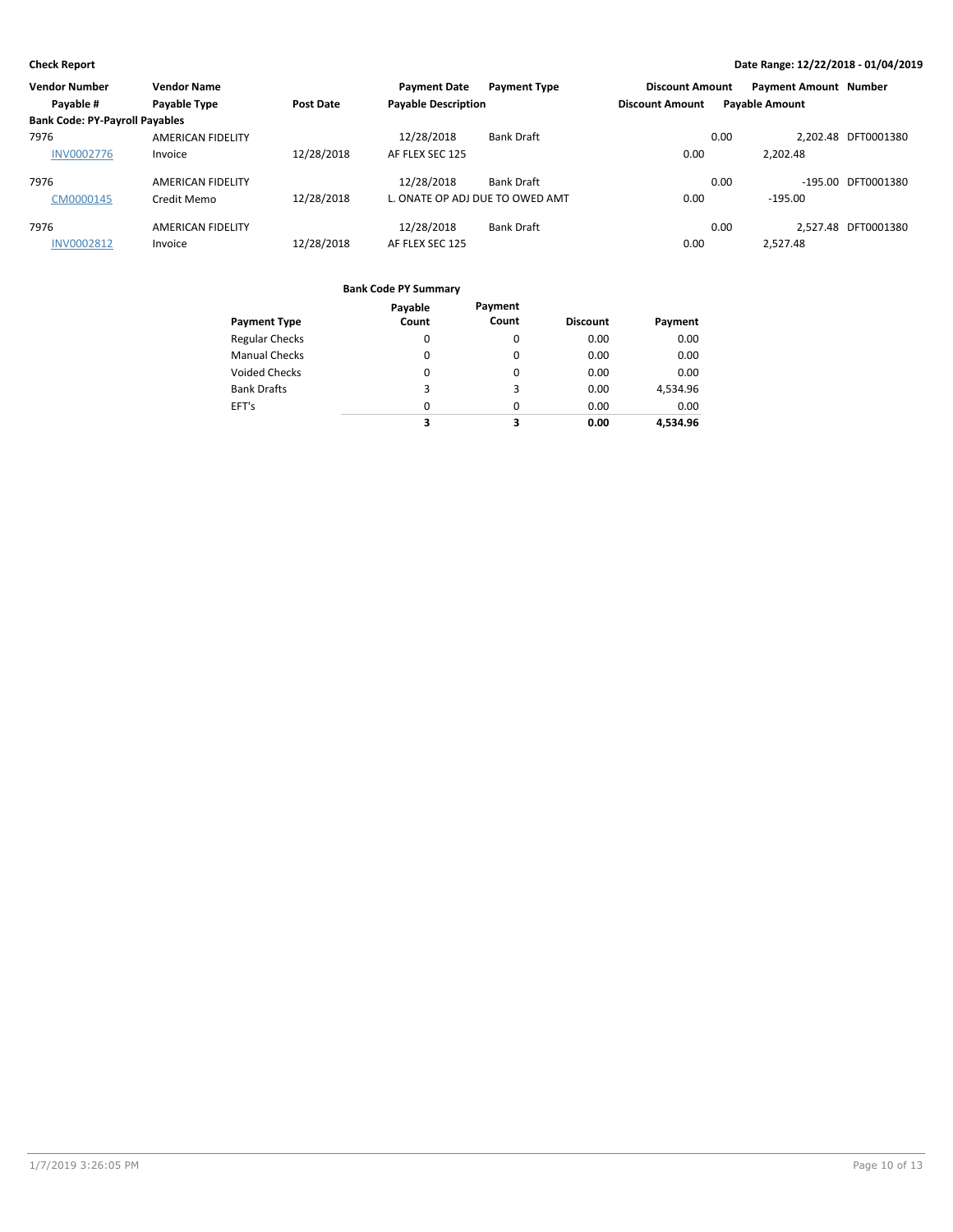| <b>Vendor Number</b>                  | <b>Vendor Name</b>       |            | <b>Payment Date</b>             | <b>Payment Type</b> | <b>Discount Amount</b> | <b>Payment Amount Number</b> |                     |
|---------------------------------------|--------------------------|------------|---------------------------------|---------------------|------------------------|------------------------------|---------------------|
| Payable #                             | Payable Type             | Post Date  | <b>Payable Description</b>      |                     | <b>Discount Amount</b> | <b>Payable Amount</b>        |                     |
| <b>Bank Code: PY-Payroll Payables</b> |                          |            |                                 |                     |                        |                              |                     |
| 7976                                  | <b>AMERICAN FIDELITY</b> |            | 12/28/2018                      | <b>Bank Draft</b>   |                        | 0.00                         | 2.202.48 DFT0001380 |
| <b>INV0002776</b>                     | Invoice                  | 12/28/2018 | AF FLEX SEC 125                 |                     | 0.00                   | 2.202.48                     |                     |
| 7976                                  | <b>AMERICAN FIDELITY</b> |            | 12/28/2018                      | <b>Bank Draft</b>   |                        | 0.00                         | -195.00 DFT0001380  |
| CM0000145                             | Credit Memo              | 12/28/2018 | L. ONATE OP ADJ DUE TO OWED AMT |                     | 0.00                   | -195.00                      |                     |
| 7976                                  | <b>AMERICAN FIDELITY</b> |            | 12/28/2018                      | <b>Bank Draft</b>   |                        | 0.00                         | 2.527.48 DFT0001380 |
| <b>INV0002812</b>                     | Invoice                  | 12/28/2018 | AF FLEX SEC 125                 |                     | 0.00                   | 2.527.48                     |                     |

|                       | Payable  | Payment |                 |          |
|-----------------------|----------|---------|-----------------|----------|
| <b>Payment Type</b>   | Count    | Count   | <b>Discount</b> | Payment  |
| <b>Regular Checks</b> | 0        | 0       | 0.00            | 0.00     |
| <b>Manual Checks</b>  | 0        | 0       | 0.00            | 0.00     |
| <b>Voided Checks</b>  | 0        | 0       | 0.00            | 0.00     |
| <b>Bank Drafts</b>    | 3        | 3       | 0.00            | 4,534.96 |
| EFT's                 | $\Omega$ | 0       | 0.00            | 0.00     |
|                       | 3        | 3       | 0.00            | 4.534.96 |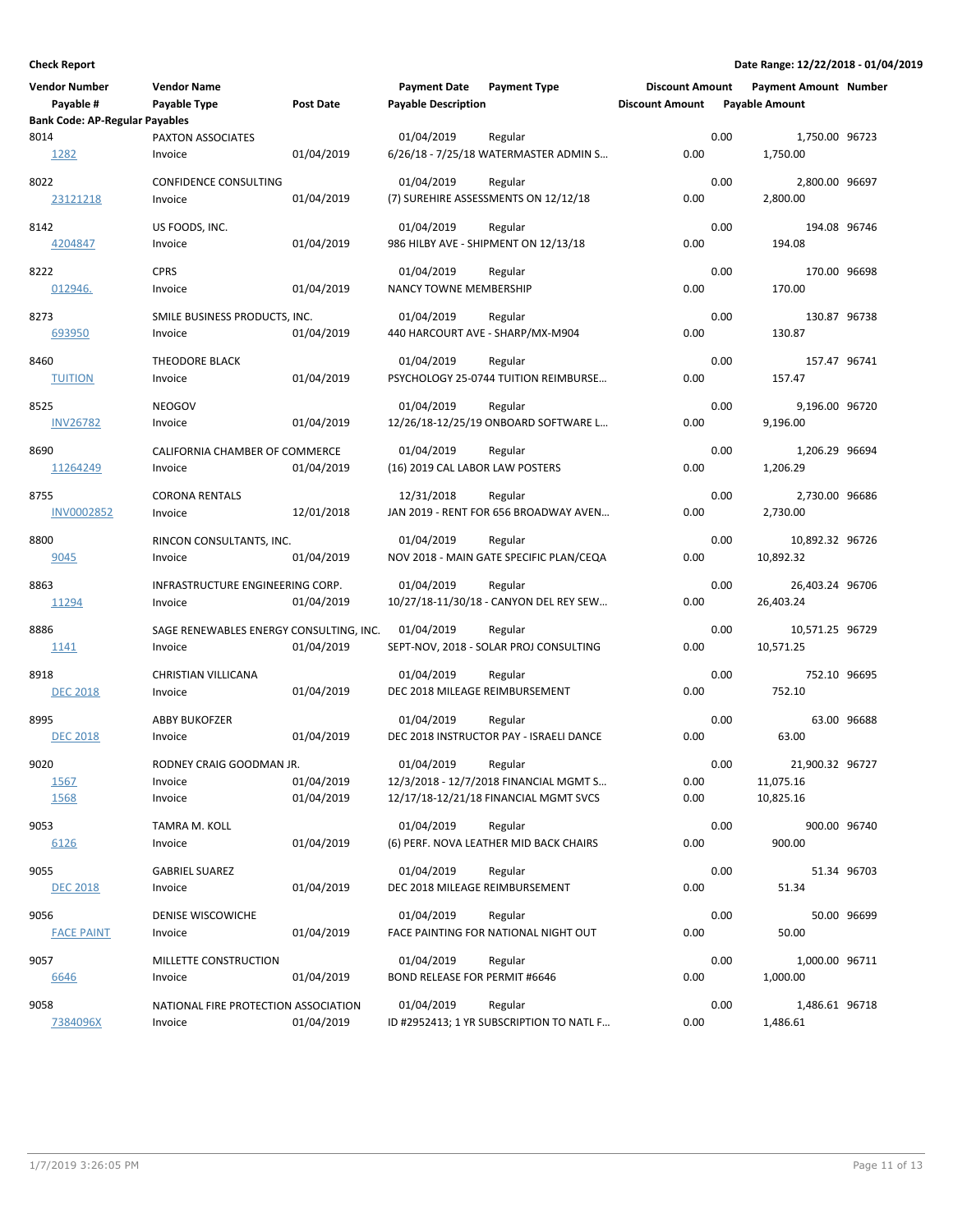| <b>Vendor Number</b><br>Payable #<br><b>Bank Code: AP-Regular Payables</b> | <b>Vendor Name</b><br>Payable Type                 | <b>Post Date</b>         | <b>Payment Date</b><br><b>Payable Description</b>  | <b>Payment Type</b>                                                                        | <b>Discount Amount</b><br><b>Discount Amount</b> |      | <b>Payment Amount Number</b><br><b>Payable Amount</b> |             |
|----------------------------------------------------------------------------|----------------------------------------------------|--------------------------|----------------------------------------------------|--------------------------------------------------------------------------------------------|--------------------------------------------------|------|-------------------------------------------------------|-------------|
| 8014<br>1282                                                               | PAXTON ASSOCIATES<br>Invoice                       | 01/04/2019               | 01/04/2019                                         | Regular<br>6/26/18 - 7/25/18 WATERMASTER ADMIN S                                           | 0.00                                             | 0.00 | 1,750.00 96723<br>1,750.00                            |             |
| 8022<br>23121218                                                           | CONFIDENCE CONSULTING<br>Invoice                   | 01/04/2019               | 01/04/2019                                         | Regular<br>(7) SUREHIRE ASSESSMENTS ON 12/12/18                                            | 0.00                                             | 0.00 | 2,800.00 96697<br>2,800.00                            |             |
| 8142<br>4204847                                                            | US FOODS, INC.<br>Invoice                          | 01/04/2019               | 01/04/2019                                         | Regular<br>986 HILBY AVE - SHIPMENT ON 12/13/18                                            | 0.00                                             | 0.00 | 194.08 96746<br>194.08                                |             |
| 8222<br>012946.                                                            | <b>CPRS</b><br>Invoice                             | 01/04/2019               | 01/04/2019<br><b>NANCY TOWNE MEMBERSHIP</b>        | Regular                                                                                    | 0.00                                             | 0.00 | 170.00 96698<br>170.00                                |             |
| 8273<br>693950                                                             | SMILE BUSINESS PRODUCTS, INC.<br>Invoice           | 01/04/2019               | 01/04/2019                                         | Regular<br>440 HARCOURT AVE - SHARP/MX-M904                                                | 0.00                                             | 0.00 | 130.87 96738<br>130.87                                |             |
| 8460<br><b>TUITION</b>                                                     | THEODORE BLACK<br>Invoice                          | 01/04/2019               | 01/04/2019                                         | Regular<br>PSYCHOLOGY 25-0744 TUITION REIMBURSE                                            | 0.00                                             | 0.00 | 157.47 96741<br>157.47                                |             |
| 8525<br><b>INV26782</b>                                                    | <b>NEOGOV</b><br>Invoice                           | 01/04/2019               | 01/04/2019                                         | Regular<br>12/26/18-12/25/19 ONBOARD SOFTWARE L                                            | 0.00                                             | 0.00 | 9,196.00 96720<br>9,196.00                            |             |
| 8690<br>11264249                                                           | CALIFORNIA CHAMBER OF COMMERCE<br>Invoice          | 01/04/2019               | 01/04/2019<br>(16) 2019 CAL LABOR LAW POSTERS      | Regular                                                                                    | 0.00                                             | 0.00 | 1,206.29 96694<br>1,206.29                            |             |
| 8755<br>INV0002852                                                         | <b>CORONA RENTALS</b><br>Invoice                   | 12/01/2018               | 12/31/2018                                         | Regular<br>JAN 2019 - RENT FOR 656 BROADWAY AVEN                                           | 0.00                                             | 0.00 | 2,730.00 96686<br>2,730.00                            |             |
| 8800<br>9045                                                               | RINCON CONSULTANTS, INC.<br>Invoice                | 01/04/2019               | 01/04/2019                                         | Regular<br>NOV 2018 - MAIN GATE SPECIFIC PLAN/CEQA                                         | 0.00                                             | 0.00 | 10,892.32 96726<br>10,892.32                          |             |
| 8863<br>11294                                                              | INFRASTRUCTURE ENGINEERING CORP.<br>Invoice        | 01/04/2019               | 01/04/2019                                         | Regular<br>10/27/18-11/30/18 - CANYON DEL REY SEW                                          | 0.00                                             | 0.00 | 26,403.24 96706<br>26,403.24                          |             |
| 8886<br><u> 1141</u>                                                       | SAGE RENEWABLES ENERGY CONSULTING, INC.<br>Invoice | 01/04/2019               | 01/04/2019                                         | Regular<br>SEPT-NOV, 2018 - SOLAR PROJ CONSULTING                                          | 0.00                                             | 0.00 | 10,571.25 96729<br>10,571.25                          |             |
| 8918<br><b>DEC 2018</b>                                                    | CHRISTIAN VILLICANA<br>Invoice                     | 01/04/2019               | 01/04/2019<br>DEC 2018 MILEAGE REIMBURSEMENT       | Regular                                                                                    | 0.00                                             | 0.00 | 752.10 96695<br>752.10                                |             |
| 8995<br><b>DEC 2018</b>                                                    | <b>ABBY BUKOFZER</b><br>Invoice                    | 01/04/2019               | 01/04/2019                                         | Regular<br>DEC 2018 INSTRUCTOR PAY - ISRAELI DANCE                                         | 0.00                                             | 0.00 | 63.00                                                 | 63.00 96688 |
| 9020<br>1567<br>1568                                                       | RODNEY CRAIG GOODMAN JR.<br>Invoice<br>Invoice     | 01/04/2019<br>01/04/2019 | 01/04/2019                                         | Regular<br>12/3/2018 - 12/7/2018 FINANCIAL MGMT S<br>12/17/18-12/21/18 FINANCIAL MGMT SVCS | 0.00<br>0.00                                     | 0.00 | 21,900.32 96727<br>11,075.16<br>10,825.16             |             |
| 9053<br>6126                                                               | TAMRA M. KOLL<br>Invoice                           | 01/04/2019               | 01/04/2019                                         | Regular<br>(6) PERF. NOVA LEATHER MID BACK CHAIRS                                          | 0.00                                             | 0.00 | 900.00 96740<br>900.00                                |             |
| 9055<br><b>DEC 2018</b>                                                    | <b>GABRIEL SUAREZ</b><br>Invoice                   | 01/04/2019               | 01/04/2019<br>DEC 2018 MILEAGE REIMBURSEMENT       | Regular                                                                                    | 0.00                                             | 0.00 | 51.34                                                 | 51.34 96703 |
| 9056<br><b>FACE PAINT</b>                                                  | DENISE WISCOWICHE<br>Invoice                       | 01/04/2019               | 01/04/2019                                         | Regular<br>FACE PAINTING FOR NATIONAL NIGHT OUT                                            | 0.00                                             | 0.00 | 50.00                                                 | 50.00 96699 |
| 9057<br>6646                                                               | MILLETTE CONSTRUCTION<br>Invoice                   | 01/04/2019               | 01/04/2019<br><b>BOND RELEASE FOR PERMIT #6646</b> | Regular                                                                                    | 0.00                                             | 0.00 | 1,000.00 96711<br>1,000.00                            |             |
| 9058<br>7384096X                                                           | NATIONAL FIRE PROTECTION ASSOCIATION<br>Invoice    | 01/04/2019               | 01/04/2019                                         | Regular<br>ID #2952413; 1 YR SUBSCRIPTION TO NATL F                                        | 0.00                                             | 0.00 | 1,486.61 96718<br>1,486.61                            |             |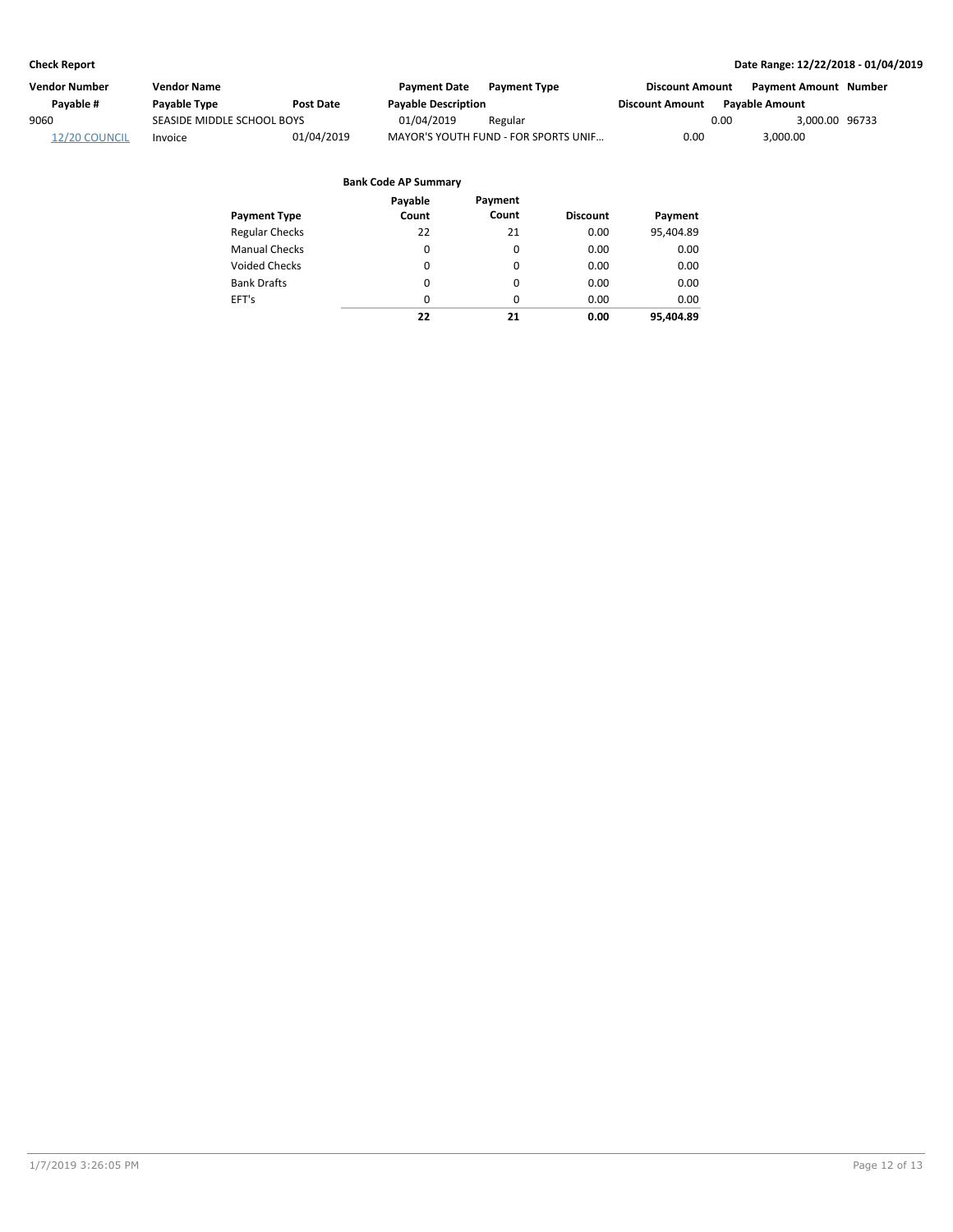| Vendor Number | <b>Vendor Name</b>         |            | <b>Payment Date</b>        | <b>Payment Type</b>                  | <b>Discount Amount</b> |      | Payment Amount Number |  |
|---------------|----------------------------|------------|----------------------------|--------------------------------------|------------------------|------|-----------------------|--|
| Pavable #     | Payable Type               | Post Date  | <b>Payable Description</b> |                                      | <b>Discount Amount</b> |      | <b>Pavable Amount</b> |  |
| 9060          | SEASIDE MIDDLE SCHOOL BOYS |            | 01/04/2019                 | Regular                              |                        | 0.00 | 3.000.00 96733        |  |
| 12/20 COUNCIL | Invoice                    | 01/04/2019 |                            | MAYOR'S YOUTH FUND - FOR SPORTS UNIF | 0.00                   |      | 3,000.00              |  |

|                       | Payable  | Payment  |                 |           |
|-----------------------|----------|----------|-----------------|-----------|
| <b>Payment Type</b>   | Count    | Count    | <b>Discount</b> | Payment   |
| <b>Regular Checks</b> | 22       | 21       | 0.00            | 95,404.89 |
| <b>Manual Checks</b>  | 0        | 0        | 0.00            | 0.00      |
| <b>Voided Checks</b>  | 0        | 0        | 0.00            | 0.00      |
| <b>Bank Drafts</b>    | 0        | 0        | 0.00            | 0.00      |
| EFT's                 | $\Omega$ | $\Omega$ | 0.00            | 0.00      |
|                       | 22       | 21       | 0.00            | 95.404.89 |